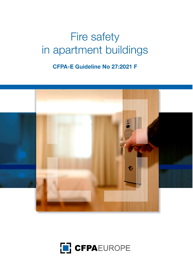# **Fire safety** in apartment buildings

**CFPA-E Guideline No 27:2021 F** 



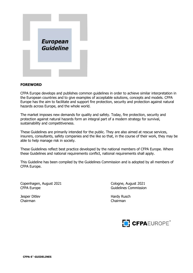

#### FOREWORD

CFPA Europe develops and publishes common guidelines in order to achieve similar interpretation in the European countries and to give examples of acceptable solutions, concepts and models. CFPA Europe has the aim to facilitate and support fire protection, security and protection against natural hazards across Europe, and the whole world.

The market imposes new demands for quality and safety. Today, fire protection, security and protection against natural hazards form an integral part of a modern strategy for survival, sustainability and competitiveness.

These Guidelines are primarily intended for the public. They are also aimed at rescue services, insurers, consultants, safety companies and the like so that, in the course of their work, they may be able to help manage risk in society.

These Guidelines reflect best practice developed by the national members of CFPA Europe. Where these Guidelines and national requirements conflict, national requirements shall apply.

This Guideline has been compiled by the Guidelines Commission and is adopted by all members of CFPA Europe.

Copenhagen, August 2021 Cologne, August 2021 CFPA Europe **Guidelines** Commission

Chairman Chairman

Jesper Ditlev **Hardy Rusch** Hardy Rusch

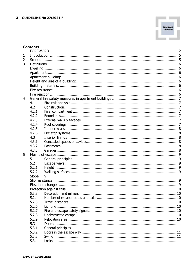

#### **Contents**

| $\mathbf{1}$   |       |   |  |  |
|----------------|-------|---|--|--|
| $\overline{2}$ |       |   |  |  |
| 3              |       |   |  |  |
|                |       |   |  |  |
|                |       |   |  |  |
|                |       |   |  |  |
|                |       |   |  |  |
|                |       |   |  |  |
|                |       |   |  |  |
|                |       |   |  |  |
| $\overline{4}$ |       |   |  |  |
|                | 4.1   |   |  |  |
|                | 4.2   |   |  |  |
|                | 4.2.1 |   |  |  |
|                | 4.2.2 |   |  |  |
|                | 4.2.3 |   |  |  |
|                | 4.2.4 |   |  |  |
|                | 4.2.5 |   |  |  |
|                | 4.2.6 |   |  |  |
|                | 4.3   |   |  |  |
|                | 4.3.1 |   |  |  |
|                | 4.3.2 |   |  |  |
|                | 4.3.3 |   |  |  |
| 5              |       |   |  |  |
|                | 5.1   |   |  |  |
|                | 5.2   |   |  |  |
|                | 5.2.1 |   |  |  |
|                | 5.2.2 |   |  |  |
|                | Slope | 9 |  |  |
|                |       |   |  |  |
|                |       |   |  |  |
|                |       |   |  |  |
|                |       |   |  |  |
|                | 5.2.4 |   |  |  |
|                | 5.2.5 |   |  |  |
|                | 5.2.6 |   |  |  |
|                | 5.2.7 |   |  |  |
|                | 5.2.8 |   |  |  |
|                | 5.2.9 |   |  |  |
|                | 5.3   |   |  |  |
|                | 5.3.1 |   |  |  |
|                | 5.3.2 |   |  |  |
|                | 5.3.3 |   |  |  |
|                | 5.3.4 |   |  |  |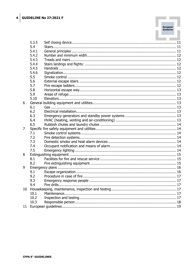|       | 5.3.5 |  |  |
|-------|-------|--|--|
|       | 5.4   |  |  |
|       | 5.4.1 |  |  |
|       | 5.4.2 |  |  |
|       | 5.4.3 |  |  |
|       | 5.4.4 |  |  |
|       | 5.4.5 |  |  |
|       | 5.4.6 |  |  |
|       | 5.5   |  |  |
|       | 5.6   |  |  |
|       | 5.7   |  |  |
|       | 5.8   |  |  |
|       | 5.9   |  |  |
|       | 5.10  |  |  |
| 6     |       |  |  |
|       | 6.1   |  |  |
|       | 6.2   |  |  |
|       | 6.3   |  |  |
|       | 6.4   |  |  |
|       | 6.5   |  |  |
| 7     |       |  |  |
|       | 7.1   |  |  |
|       | 7.2   |  |  |
|       | 7.3   |  |  |
|       | 7.4   |  |  |
|       | 7.5   |  |  |
| 8     |       |  |  |
|       | 8.1   |  |  |
|       | 8.2   |  |  |
| 9     |       |  |  |
|       | 9.1   |  |  |
|       | 9.2   |  |  |
|       | 9.3   |  |  |
|       | 9.4   |  |  |
| 10    |       |  |  |
|       | 10.1  |  |  |
|       | 10.2  |  |  |
|       | 10.3  |  |  |
| $11-$ |       |  |  |

European<br>Guideline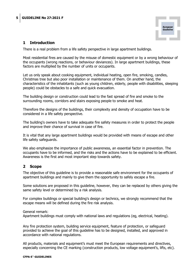

# 1 Introduction

There is a real problem from a life safety perspective in large apartment buildings.

Most residential fires are caused by the misuse of domestic equipment or by a wrong behaviour of the occupants (wrong reactions, or behaviour deviances). In large apartment buildings, these factors are multiplied by the number of units or occupants.

Let us only speak about cooking equipment, individual heating, open fire, smoking, candles, Christmas tree but also poor installation or maintenance of them. On another hand, the characteristics of the inhabitants (such as young children, elderly, people with disabilities, sleeping people) could be obstacles to a safe and quick evacuation.

The building design or construction could lead to the fast spread of fire and smoke to the surrounding rooms, corridors and stairs exposing people to smoke and heat.

Therefore the designs of the buildings, their complexity and density of occupation have to be considered in a life safety perspective.

The building's owners have to take adequate fire safety measures in order to protect the people and improve their chance of survival in case of fire.

It is vital that any large apartment buildings would be provided with means of escape and other life safety safeguards.

We also emphasize the importance of public awareness, an essential factor in prevention. The occupants have to be informed, and the risks and the actions have to be explained to be efficient. Awareness is the first and most important step towards safety.

# 2 Scope

The objective of this guideline is to provide a reasonable safe environment for the occupants of apartment buildings and mainly to give them the opportunity to safely escape a fire.

Some solutions are proposed in this guideline, however, they can be replaced by others giving the same safety level or determined by a risk analysis.

For complex buildings or special building's design or technics, we strongly recommend that the escape means will be defined during the fire risk analysis.

General remark:

Apartment buildings must comply with national laws and regulations (eg, electrical, heating).

Any fire protection system, building service equipment, feature of protection, or safeguard provided to achieve the goal of this guideline has to be designed, installed, and approved in accordance with national regulations.

All products, materials and equipment's must meet the European requirements and directives, especially concerning the CE marking (construction products, low voltage equipment's, lifts, etc).

#### CFPA-E<sup>®</sup>-GUIDELINES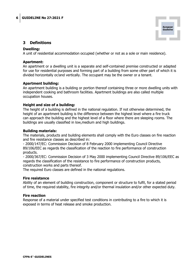

## 3 Definitions

#### Dwelling:

A unit of residential accommodation occupied (whether or not as a sole or main residence).

#### Apartment:

An apartment or a dwelling unit is a separate and self-contained premise constructed or adapted for use for residential purposes and forming part of a building from some other part of which it is divided horizontally or/and vertically. The occupant may be the owner or a tenant.

#### Apartment building:

An apartment building is a building or portion thereof containing three or more dwelling units with independent cooking and bathroom facilities. Apartment buildings are also called multiple occupation houses.

#### Height and size of a building:

The height of a building is defined in the national regulation. If not otherwise determined, the height of an apartment building is the difference between the highest level where a fire truck can approach the building and the highest level of a floor where there are sleeping rooms. The buildings are usually classified in low,medium and high buildings.

#### Building materials:

The materials, products and building elements shall comply with the Euro classes on fire reaction and fire resistance classes as described in:

- 2000/147/EC: Commission Decision of 8 February 2000 implementing Council Directive 89/106/EEC as regards the classification of the reaction to fire performance of construction products.

- 2000/367/EC: Commission Decision of 3 May 2000 implementing Council Directive 89/106/EEC as regards the classification of the resistance to fire performance of construction products, construction works and parts thereof.

The required Euro classes are defined in the national regulations.

#### Fire resistance

Ability of an element of building construction, component or structure to fulfil, for a stated period of time, the required stability, fire integrity and/or thermal insulation and/or other expected duty.

#### Fire reaction

Response of a material under specified test conditions in contributing to a fire to which it is exposed in terms of heat release and smoke production.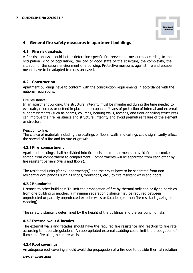

# 4 General fire safety measures in apartment buildings

#### 4.1 Fire risk analysis

A fire risk analysis could better determine specific fire prevention measures according to the occupation (kind of population), the bad or good state of the structure, the complexity, the situation or the secure environment of a building. Protective measures against fire and escape means have to be adapted to cases analyzed.

#### 4.2 Construction

Apartment buildings have to conform with the construction requirements in accordance with the national regulations.

Fire resistance:

In an apartment building, the structural integrity must be maintained during the time needed to evacuate, relocate, or defend in place the occupants. Means of protection of internal and external support elements (such as beams, columns, bearing walls, facades, and floor or ceiling structures) can improve the fire resistance and structural integrity and avoid premature failure of the element or structure.

#### Reaction to fire:

The choice of materials including the coatings of floors, walls and ceilings could significantly affect the spread of a fire and its rate of growth.

#### 4.2.1 Fire compartment

Apartment buildings shall be divided into fire resistant compartments to avoid fire and smoke spread from compartment to compartment. Compartments will be separated from each other by fire resistant barriers (walls and floors).

The residential units (for ex. apartment(s)) and their exits have to be separated from nonresidential occupancies such as shops, workshops, etc.) by fire resistant walls and floors.

#### 4.2.2 Boundaries

Distance to other buildings: To limit the propagation of fire by thermal radiation or flying particles from one building to another, a minimum separation distance may be required between unprotected or partially unprotected exterior walls or facades (ex.: non fire resistant glazing or cladding).

The safety distance is determined by the height of the buildings and the surrounding risks.

#### 4.2.3 External walls & facades

The external walls and facades should have the required fire resistance and reaction to fire rate according to nationalregulations. An appropriated external cladding could limit the propagation of flame and fire alongthe entire walls.

#### 4.2.4 Roof coverings

An adequate roof covering should avoid the propagation of a fire due to outside thermal radiation

#### CFPA-E<sup>®</sup>-GUIDELINES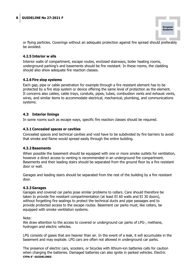

or flying particles. Coverings without an adequate protection against fire spread should preferably be avoided.

# 4.2.5 Interior w alls

Interior walls of compartment, escape routes, enclosed stairways, boiler heating rooms, underground parking's and basements should be fire resistant. In these rooms, the cladding should also show adequate fire reaction classes.

#### 4.2.6 Fire stop systems

Each gap, pipe or cable penetration for example through a fire resistant element has to be protected by a fire stop system or device offering the same level of protection as the element. It concerns also cables, cable trays, conduits, pipes, tubes, combustion vents and exhaust vents, wires, and similar items to accommodate electrical, mechanical, plumbing, and communications systems.

#### 4.3 Interior linings

In some rooms such as escape ways, specific fire reaction classes should be required.

#### 4.3.1 Concealed spaces or cavities

Concealed spaces and technical cavities and void have to be subdivided by fire barriers to avoid that smoke and flame would spread easily through the entire building.

#### 4.3.2 Basements

When possible the basement should be equipped with one or more smoke outlets for ventilation, however a direct access to venting is recommended in an underground fire compartment. Basements and their leading stairs should be separated from the ground floor by a fire resistant door or wall.

Garages and leading stairs should be separated from the rest of the building by a fire resistant door.

#### 4.3.3 Garages

Garages and covered car parks pose similar problems to cellars. Care should therefore be taken to provide fire resistant compartmentation (at least EI 60 walls and EI 30 doors), without forgetting fire sealings to protect the technical ducts and pipe passages and to provide protected access to the escape routes. Basement car parks must, like cellars, be equipped with smoke ventilation systems.

Note:

We draw attention to the access to covered or underground car parks of LPG-, methane, hydrogen and electric vehicles.

LPG consists of gases that are heavier than air. In the event of a leak, it will accumulate in the basement and may explode. LPG cars are often not allowed in underground car parks.

CFPA-E<sup>®</sup>-GUIDELINES The presence of electric cars, scooters, or bicycles with lithium-ion batteries calls for caution when charging the batteries. Damaged batteries can also ignite in parked vehicles. Electric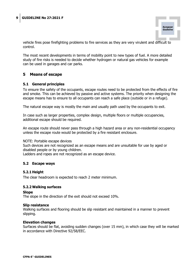

vehicle fires pose firefighting problems to fire services as they are very virulent and difficult to control.

The most recent developments in terms of mobility point to new types of fuel. A more detailed study of fire risks is needed to decide whether hydrogen or natural gas vehicles for example can be used in garages and car parks.

#### 5 Means of escape

#### 5.1 General principles

To ensure the safety of the occupants, escape routes need to be protected from the effects of fire and smoke. This can be achieved by passive and active systems. The priority when designing the escape means has to ensure to all occupants can reach a safe place (outside or in a refuge).

The natural escape way is mostly the main and usually path used by the occupants to exit.

In case such as larger properties, complex design, multiple floors or multiple occupancies, additional escape should be required.

An escape route should never pass through a high hazard area or any non-residential occupancy unless the escape route would be protected by a fire resistant enclosure.

#### NOTE: Portable escape devices

Such devices are not recognized as an escape means and are unsuitable for use by aged or disabled people or by young children. Ladders and ropes are not recognized as an escape device.

# 5.2 Escape ways

# 5.2.1 Height

The clear headroom is expected to reach 2 meter minimum.

#### 5.2.2 Walking surfaces

#### Slope

The slope in the direction of the exit should not exceed 10%.

#### Slip resistance

Walking surfaces and flooring should be slip resistant and maintained in a manner to prevent slipping.

#### Elevation changes

Surfaces should be flat, avoiding sudden changes (over 15 mm), in which case they will be marked in accordance with Directive 92/58/EEC.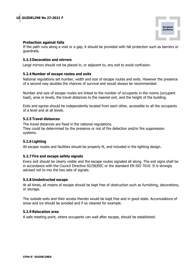

#### Protection against falls

If the path runs along a void or a gap, it should be provided with fall protection such as barriers or guardrails.

#### 5.3.3 Decoration and mirrors

Large mirrors should not be placed in, or adjacent to, any exit to avoid confusion.

#### 5.2.4 Number of escape routes and exits

National regulations set number, width and size of escape routes and exits. However the presence of a second way doubles the chances of survival and would always be recommended.

Number and size of escape routes are linked to the number of occupants in the rooms (occupant load), area or levels, the travel distances to the nearest exit, and the height of the building.

Exits and egress should be independently located from each other, accessible to all the occupants of a level and at all levels.

#### 5.2.5 Travel distances

The travel distances are fixed in the national regulations. They could be determined by the presence or not of fire detection and/or fire suppression systems.

#### 5.2.6 Lighting

All escape routes and facilities should be properly lit, and included in the lighting design.

#### 5.2.7 Fire and escape safety signals

Every exit should be clearly visible and the escape routes signaled all along. The exit signs shall be in accordance with the Council Directive 92/58/EEC or the standard EN ISO 7010. It is strongly advised not to mix the two sets of signals.

#### 5.2.8 Unobstructed escape

At all times, all means of escape should be kept free of obstruction such as furnishing, decorations, or storage.

The outside exits and their access thereto would be kept free and in good state. Accumulations of snow and ice should be avoided and if so cleaned for example.

#### 5.2.9 Relocation area

A safe meeting point, where occupants can wait after escape, should be established.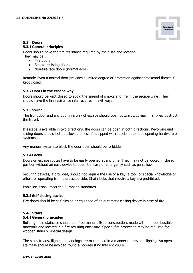

# 5.3 Doors

# 5.3.1 General principles

Doors should have the fire resistance required by their use and location. They may be:

- Fire doors
- Smoke-resisting doors
- Non-fire-rate doors (normal door)

Remark: Even a normal door provides a limited degree of protection against smokeand flames if kept closed.

#### 5.3.2 Doors in the escape way

Doors should be kept closed to avoid the spread of smoke and fire in the escape ways. They should have the fire resistance rate required in exit ways.

#### 5.3.3 Swing

The front door and any door in a way of escape should open outwards. It may in anyway obstruct the travel.

If escape is available in two directions, the doors can be open in both directions. Revolving and sliding doors should not be allowed unless if equipped with special automatic opening hardware or systems.

Any manual system to block the door open should be forbidden.

#### 5.3.4 Locks

Doors on escape routes have to be easily opened at any time. They may not be locked in closed position without an easy device to open it in case of emergency such as panic lock.

Securing devices, if provided, should not require the use of a key, a tool, or special knowledge or effort for operating from the escape side. Chain locks that require a key are prohibited.

Panic locks shall meet the European standards.

#### 5.3.5 Self closing device

Fire doors should be self-closing or equipped of an automatic closing device in case of fire.

#### 5.4 Stairs

#### 5.4.1 General principles

Building main staircase should be of permanent fixed construction, made with non-combustible materials and located in a fire resisting enclosure. Special fire protection may be required for wooden stairs or special design.

The stair, treads, flights and landings are maintained in a manner to prevent slipping. An open staircase should be avoided round a non-resisting lifts enclosure.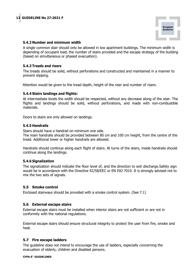

#### 5.4.2 Number and minimum width

A single common stair should only be allowed in low apartment buildings. The minimum width is depending of occupant load, the number of stairs provided and the escape strategy of the building (based on simultaneous or phased evacuation).

#### 5.4.3 Treads and risers

The treads should be solid, without perforations and constructed and maintained in a manner to prevent slipping.

Attention would be given to the tread depth, height of the riser and number of risers.

#### 5.4.4 Stairs landings and flights:

At intermediate levels the width should be respected, without any decrease along of the stair. The flights and landings should be solid, without perforations, and made with non-combustible materials.

Doors to stairs are only allowed on landings.

#### 5.4.5 Handrails

Stairs should have a handrail on minimum one side.

The main handrails should be provided between 80 cm and 100 cm height, from the centre of the tread. Additional lower or higher handrails are allowed.

Handrails should continue along each flight of stairs. At turns of the stairs, inside handrails should continue along the landings.

#### 5.4.6 Signalization

The signalization should indicate the floor level of, and the direction to exit discharge.Safety sign would be in accordance with the Directive 92/58/EEC or EN ISO 7010. It is strongly advised not to mix the two sets of signals.

#### 5.5 Smoke control

Enclosed stairways should be provided with a smoke control system. (See 7.1)

#### 5.6 External escape stairs

External escape stairs must be installed when interior stairs are not sufficient or are not in conformity with the national regulations.

External escape stairs should ensure structural integrity to protect the user from fire, smoke and heat.

#### 5.7 Fire escape ladders

The guideline does not intend to encourage the use of ladders, especially concerning the evacuation of elderly, children and disabled persons.

#### CFPA-E<sup>®</sup>-GUIDELINES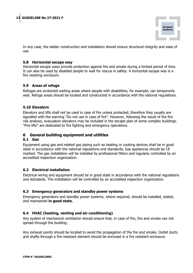

In any case, the ladder construction and installation should ensure structural integrity and ease of use.

#### 5.8 Horizontal escape way

Horizontal escape ways provide protection against fire and smoke during a limited period of time. It can also be used by disabled people to wait for rescue in safety. A horizontal escape way is a fire resisting enclosure.

#### 5.9 Areas of refuge

Refuges are protected waiting areas where people with disabilities, for example, can temporarily wait. Refuge areas should be located and constructed in accordance with the national regulations.

#### 5.10 Elevators

Elevators and lifts shall not be used in case of fire unless protected, therefore they usually are signalled with the warning "Do not use in case of fire". However, following the result of the fire risk analysis, evacuation elevators may be included in the escape plan of some complex buildings. "Fire lifts" are dedicated to fire fighting and emergency operations.

# 6 General building equipment and utilities

#### 6.1 Gas

Equipment using gas and related gas piping such as heating or cooking devices shall be in good state in accordance with the national regulations and standards. Gas appliances should be CE marked. The gas installation will be installed by professional fitters and regularly controlled by an accredited inspection organization.

#### 6.2 Electrical installation

Electrical wiring and equipment should be in good state in accordance with the national regulations and standards. The installation will be controlled by an accredited inspection organization.

#### 6.3 Emergency generators and standby power systems

Emergency generators and standby power systems, where required, should be installed, tested, and maintained in good state.

#### 6.4 HVAC (heating, venting and air-conditioning)

Any system of mechanical ventilation should ensure that, in case of fire, fire and smoke can not spread through the building.

Any exhaust points should be located to avoid the propagation of the fire and smoke. Outlet ducts and shafts through a fire resistant element should be enclosed in a fire resistant enclosure.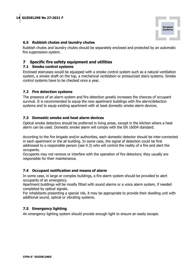

#### 6.5 Rubbish chutes and laundry chutes

Rubbish chutes and laundry chutes should be separately enclosed and protected by an automatic fire suppression system.

## 7 Specific fire safety equipment and utilities

#### 7.1 Smoke control systems

Enclosed staircases would be equipped with a smoke control system such as a natural ventilation system, a smoke shaft on the top, a mechanical ventilation or pressurized stairs systems. Smoke control systems have to be checked once a year.

#### 7.2 Fire detection systems

The presence of an alarm system and fire detection greatly increases the chances of occupant survival. It is recommended to equip the new apartment buildings with fire alarm/detection systems and to equip existing apartment with at least domestic smoke alarm devices.

#### 7.3 Domestic smoke and heat alarm devices

Optical smoke detectors should be preferred in living areas, except in the kitchen where a heat alarm can be used. Domestic smoke alarm will comply with the EN 16004 standard.

According to the fire brigade and/or authorities, each domestic detector should be inter-connected in each apartment or the all building. In some case, the signal of detection could be first addressed to a responsible person (see 9.3) who will control the reality of a fire and alert the occupants.

Occupants may not remove or interfere with the operation of fire detectors; they usually are responsible for their maintenance.

#### 7.4 Occupant notification and means of alarm

In some case, in large or complex buildings, a fire alarm system should be provided to alert occupants of an emergency.

Apartment buildings will be mostly fitted with sound alarms or a voice alarm system, if needed completed by optical signals.

For inhabitants presenting a special risk, it may be appropriate to provide their dwelling unit with additional sound, optical or vibrating systems.

#### 7.5 Emergency lighting

An emergency lighting system should provide enough light to ensure an easily escape.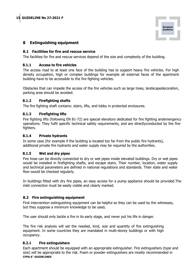

# 8 Extinguishing equipment

#### 8.1 Facilities for fire and rescue service

The facilities for fire and rescue services depend of the size and complexity of the building.

#### 8.1.1 Access to fire vehicles

The access road to at least one face of the building has to support heavy fire vehicles. For high density occupation, high or complex buildings for example all external faces of the apartment building have to be accessible to the fire fighting vehicles.

Obstacles that can impede the access of the fire vehicles such as large trees, landscapedecoration, parking area should be avoided.

#### 8.1.2 Firefighting shafts

The fire fighting shaft contains: stairs, lifts, and lobby in protected enclosures.

#### 8.1.3 Firefighting lifts

Fire fighting lifts (following EN 81-72) are special elevators dedicated for fire fighting andemergency operations. They fulfil specific technical safety requirements, and are directlyconducted by the firefighters.

#### 8.1.4 Private hydrants

In some case (for example if the building is located too far from the public fire hydrants), additional private fire hydrants and water supply may be required by the authorities.

#### 8.1.5 Wet and dry pipes

Fire hose can be directly connected to dry or wet pipes inside elevated buildings. Dry or wet pipes would be installed in firefighting shafts, and escape stairs. Their number, location, water supply and technical parameters are defined in national regulations and standards. Their state and water flow would be checked regularly.

In buildings fitted with dry fire pipes, an easy access for a pump appliance should be provided.The inlet connection must be easily visible and clearly marked.

#### 8.2 Fire extinguishing equipment

First intervention extinguishing equipment can be helpful as they can be used by the witnesses, but they suppose a minimum knowledge to be used.

The user should only tackle a fire in its early stage, and never put his life in danger.

The fire risk analysis will set the needed, kind, size and quantity of fire extinguishing equipment. In some countries they are mandated in multi-storey buildings or with high occupancy.

#### 8.2.1 Fire extinguishers

CFPA-E<sup>®</sup>-GUIDELINES Each apartment should be equipped with an appropriate extinguisher. Fire extinguishers (type and size) will be appropriate to the risk. Foam or powder extinguishers are mostly recommended in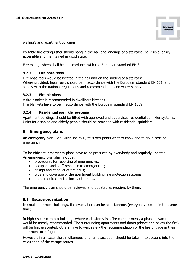

welling's and apartment buildings.

Portable fire extinguisher should hang in the hall and landings of a staircase, be visible, easily accessible and maintained in good state.

Fire extinguishers shall be in accordance with the European standard EN 3.

#### 8.2.2 Fire hose reels

Fire hose reels would be located in the hall and on the landing of a staircase. Where provided, hose reels should be in accordance with the European standard EN 671, and supply with the national regulations and recommendations on water supply.

#### 8.2.3 Fire blankets

A fire blanket is recommended in dwelling's kitchens. Fire blankets have to be in accordance with the European standard EN 1869.

#### 8.2.4 Residential sprinkler systems

Apartment buildings should be fitted with approved and supervised residential sprinkler systems. Units for disabled and elderly people should be provided with residential sprinklers

# 9 Emergency plans

An emergency plan (See Guideline 25 F) tells occupants what to know and to do in case of emergency.

To be efficient, emergency plans have to be practiced by everybody and regularly updated. An emergency plan shall include:

- procedures for reporting of emergencies;
- occupant and staff response to emergencies;
- design and conduct of fire drills;
- type and coverage of the apartment building fire protection systems;
- items required by the local authorities.

The emergency plan should be reviewed and updated as required by them.

#### 9.1 Escape organization

In small apartment buildings, the evacuation can be simultaneous (everybody escape in the same time).

In high rise or complex buildings where each storey is a fire compartment, a phased evacuation would be mostly recommended. The surrounding apartments and floors (above and below the fire) will be first evacuated; others have to wait safely the recommendation of the fire brigade in their apartment or refuge.

However, in all case, the simultaneous and full evacuation should be taken into account into the calculation of the escape routes.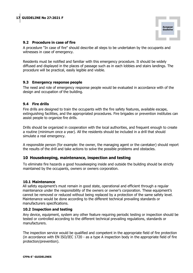

#### 9.2 Procedure in case of fire

A procedure "In case of fire" should describe all steps to be undertaken by the occupants and witnesses in case of emergency.

Residents must be notified and familiar with this emergency procedure. It should be widely diffused and displayed in the places of passage such as in each lobbies and stairs landings. The procedure will be practical, easily legible and visible.

#### 9.3 Emergency response people

The need and role of emergency response people would be evaluated in accordance with of the design and occupation of the building.

#### 9.4 Fire drills

Fire drills are designed to train the occupants with the fire safety features, available escape, extinguishing facilities, and the appropriated procedures. Fire brigades or prevention institutes can assist people to organize fire drills.

Drills should be organized in cooperation with the local authorities, and frequent enough to create a routine (minimum once a year). All the residents should be included in a drill that should simulate a real emergency.

A responsible person (for example: the owner, the managing agent or the caretaker) should report the results of the drill and take actions to solve the possible problems and obstacles.

#### 10 Housekeeping, maintenance, inspection and testing

To eliminate fire hazards a good housekeeping inside and outside the building should be strictly maintained by the occupants, owners or owners corporation.

#### 10.1 Maintenance

All safety equipment's must remain in good state, operational and efficient through a regular maintenance under the responsibility of the owners or owner's corporation. These equipment's cannot be removed or reduced without being replaced by a protection of the same safety level. Maintenance would be done according to the different technical prevailing standards or manufacturers specifications.

#### 10.2 Inspection and testing

Any device, equipment, system any other feature requiring periodic testing or inspection should be tested or controlled according to the different technical prevailing regulations, standards or manufacturers.

The inspection service would be qualified and competent in the appropriate field of fire protection (in accordance with EN ISO/IEC 1720 - as a type A inspection body in the appropriate field of fire protection/prevention).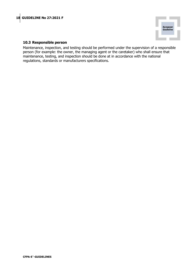

#### 10.3 Responsible person

Maintenance, inspection, and testing should be performed under the supervision of a responsible person (for example: the owner, the managing agent or the caretaker) who shall ensure that maintenance, testing, and inspection should be done at in accordance with the national regulations, standards or manufacturers specifications.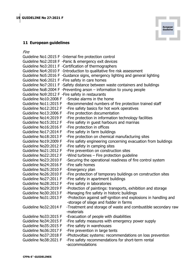Fire



Guideline No1:2015 F -Internal fire protection control Guideline No2:2018 F -Panic & emergency exit devices Guideline No3:2011 F -Certification of thermographers Guideline No4:2010 F -Introduction to qualitative fire risk assessment Guideline No5:2016 F -Guidance signs, emergency lighting and general lighting Guideline No6:2021 F -Fire safety in care homes Guideline No7:2011 F -Safety distance between waste containers and buildings Guideline No8:2004 F -Preventing arson – information to young people Guideline No9:2012 F -Fire safety in restaurants Guideline No10:2008 F -Smoke alarms in the home Guideline No11:2015 F -Recommended numbers of fire protection trained staff Guideline No12:2012 F -Fire safety basics for hot work operatives Guideline No13:2006 F -Fire protection documentation Guideline No14:2019 F -Fire protection in information technology facilities Guideline No15:2012 F -Fire safety in guest harbours and marinas Guideline No16:2016 F -Fire protection in offices Guideline No17:2014 F -Fire safety in farm buildings Guideline No18:2013 F -Fire protection on chemical manufacturing sites Guideline No19:2009 F -Fire safety engineering concerning evacuation from buildings Guideline No20:2012 F -Fire safety in camping sites Guideline No21:2012 F -Fire prevention on construction sites Guideline No22:2012 F -Wind turbines – Fire protection guideline Guideline No23:2010 F -Securing the operational readiness of fire control system Guideline No24:2016 F -Fire safe homes Guideline No25:2010 F -Emergency plan Guideline No26:2010 F -Fire protection of temporary buildings on construction sites Guideline No27:2011 F -Fire safety in apartment buildings Guideline No28:2012 F -Fire safety in laboratories Guideline No29:2019 F -Protection of paintings: transports, exhibition and storage Guideline No30:2013 F -Managing fire safety in historic buildings Guideline No31:2013 F -Protection against self-ignition end explosions in handling and -storage of silage and fodder in farms Guideline No32:2014 F -Treatment and storage of waste and combustible secondary raw -materials Guideline No33:2015 F -Evacuation of people with disabilities Guideline No34:2015 F -Fire safety measures with emergency power supply Guideline No35:2015 F -Fire safety in warehouses Guideline No36:2017 F -Fire prevention in large tents Guideline No37:2018 F -Photovoltaic systems: recommendations on loss prevention Guideline No38:2021 F -Fire safety recommendations for short-term rental -accommodations

**European Guideline**